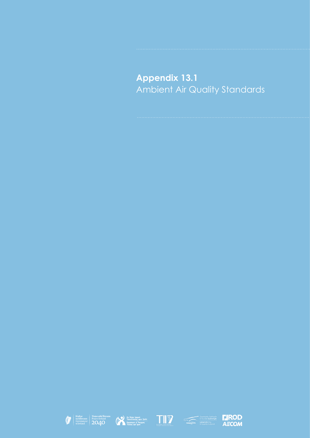## **Appendix 13.1** Ambient Air Quality Standards









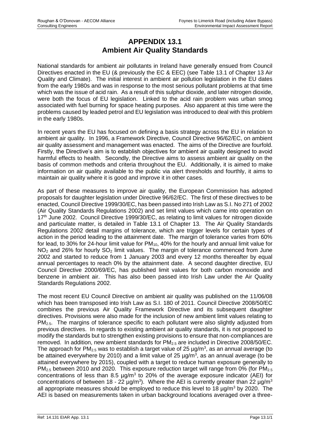## **APPENDIX 13.1 Ambient Air Quality Standards**

National standards for ambient air pollutants in Ireland have generally ensued from Council Directives enacted in the EU (& previously the EC & EEC) (see Table 13.1 of Chapter 13 Air Quality and Climate). The initial interest in ambient air pollution legislation in the EU dates from the early 1980s and was in response to the most serious pollutant problems at that time which was the issue of acid rain. As a result of this sulphur dioxide, and later nitrogen dioxide, were both the focus of EU legislation. Linked to the acid rain problem was urban smog associated with fuel burning for space heating purposes. Also apparent at this time were the problems caused by leaded petrol and EU legislation was introduced to deal with this problem in the early 1980s.

In recent years the EU has focused on defining a basis strategy across the EU in relation to ambient air quality. In 1996, a Framework Directive, Council Directive 96/62/EC, on ambient air quality assessment and management was enacted. The aims of the Directive are fourfold. Firstly, the Directive's aim is to establish objectives for ambient air quality designed to avoid harmful effects to health. Secondly, the Directive aims to assess ambient air quality on the basis of common methods and criteria throughout the EU. Additionally, it is aimed to make information on air quality available to the public via alert thresholds and fourthly, it aims to maintain air quality where it is good and improve it in other cases.

As part of these measures to improve air quality, the European Commission has adopted proposals for daughter legislation under Directive 96/62/EC. The first of these directives to be enacted, Council Directive 1999/30/EC, has been passed into Irish Law as S.I. No 271 of 2002 (Air Quality Standards Regulations 2002) and set limit values which came into operation on 17<sup>th</sup> June 2002. Council Directive 1999/30/EC, as relating to limit values for nitrogen dioxide and particulate matter, is detailed in Table 13.1 of Chapter 13. The Air Quality Standards Regulations 2002 detail margins of tolerance, which are trigger levels for certain types of action in the period leading to the attainment date. The margin of tolerance varies from 60% for lead, to 30% for 24-hour limit value for PM<sub>10</sub>, 40% for the hourly and annual limit value for  $NO<sub>2</sub>$  and 26% for hourly  $SO<sub>2</sub>$  limit values. The margin of tolerance commenced from June 2002 and started to reduce from 1 January 2003 and every 12 months thereafter by equal annual percentages to reach 0% by the attainment date. A second daughter directive, EU Council Directive 2000/69/EC, has published limit values for both carbon monoxide and benzene in ambient air. This has also been passed into Irish Law under the Air Quality Standards Regulations 2002.

The most recent EU Council Directive on ambient air quality was published on the 11/06/08 which has been transposed into Irish Law as S.I. 180 of 2011. Council Directive 2008/50/EC combines the previous Air Quality Framework Directive and its subsequent daughter directives. Provisions were also made for the inclusion of new ambient limit values relating to PM2.5. The margins of tolerance specific to each pollutant were also slightly adjusted from previous directives. In regards to existing ambient air quality standards, it is not proposed to modify the standards but to strengthen existing provisions to ensure that non-compliances are removed. In addition, new ambient standards for  $PM<sub>2.5</sub>$  are included in Directive 2008/50/EC. The approach for PM<sub>2.5</sub> was to establish a target value of 25  $\mu$ g/m<sup>3</sup>, as an annual average (to be attained everywhere by 2010) and a limit value of 25  $\mu$ g/m<sup>3</sup>, as an annual average (to be attained everywhere by 2015), coupled with a target to reduce human exposure generally to PM<sub>2.5</sub> between 2010 and 2020. This exposure reduction target will range from 0% (for PM<sub>2.5</sub>) concentrations of less than 8.5  $\mu$ g/m<sup>3</sup> to 20% of the average exposure indicator (AEI) for concentrations of between 18 - 22  $\mu$ g/m<sup>3</sup>). Where the AEI is currently greater than 22  $\mu$ g/m<sup>3</sup> all appropriate measures should be employed to reduce this level to 18  $\mu$ g/m<sup>3</sup> by 2020. The AEI is based on measurements taken in urban background locations averaged over a three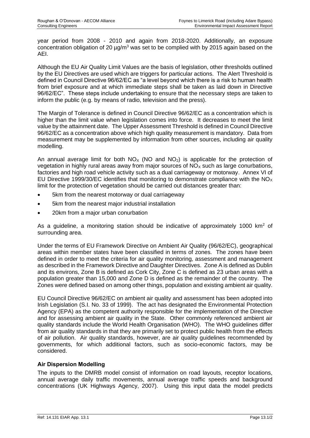year period from 2008 - 2010 and again from 2018-2020. Additionally, an exposure concentration obligation of 20  $\mu$ g/m<sup>3</sup> was set to be complied with by 2015 again based on the AEI.

Although the EU Air Quality Limit Values are the basis of legislation, other thresholds outlined by the EU Directives are used which are triggers for particular actions. The Alert Threshold is defined in Council Directive 96/62/EC as "a level beyond which there is a risk to human health from brief exposure and at which immediate steps shall be taken as laid down in Directive 96/62/EC". These steps include undertaking to ensure that the necessary steps are taken to inform the public (e.g. by means of radio, television and the press).

The Margin of Tolerance is defined in Council Directive 96/62/EC as a concentration which is higher than the limit value when legislation comes into force. It decreases to meet the limit value by the attainment date. The Upper Assessment Threshold is defined in Council Directive 96/62/EC as a concentration above which high quality measurement is mandatory. Data from measurement may be supplemented by information from other sources, including air quality modelling.

An annual average limit for both  $NO<sub>x</sub>$  (NO and  $NO<sub>2</sub>$ ) is applicable for the protection of vegetation in highly rural areas away from major sources of  $NO<sub>x</sub>$  such as large conurbations, factories and high road vehicle activity such as a dual carriageway or motorway. Annex VI of EU Directive 1999/30/EC identifies that monitoring to demonstrate compliance with the  $NO<sub>x</sub>$ limit for the protection of vegetation should be carried out distances greater than:

- 5km from the nearest motorway or dual carriageway
- 5km from the nearest major industrial installation
- 20km from a major urban conurbation

As a guideline, a monitoring station should be indicative of approximately 1000  $km^2$  of surrounding area.

Under the terms of EU Framework Directive on Ambient Air Quality (96/62/EC), geographical areas within member states have been classified in terms of zones. The zones have been defined in order to meet the criteria for air quality monitoring, assessment and management as described in the Framework Directive and Daughter Directives. Zone A is defined as Dublin and its environs, Zone B is defined as Cork City, Zone C is defined as 23 urban areas with a population greater than 15,000 and Zone D is defined as the remainder of the country. The Zones were defined based on among other things, population and existing ambient air quality.

EU Council Directive 96/62/EC on ambient air quality and assessment has been adopted into Irish Legislation (S.I. No. 33 of 1999). The act has designated the Environmental Protection Agency (EPA) as the competent authority responsible for the implementation of the Directive and for assessing ambient air quality in the State. Other commonly referenced ambient air quality standards include the World Health Organisation (WHO). The WHO guidelines differ from air quality standards in that they are primarily set to protect public health from the effects of air pollution. Air quality standards, however, are air quality guidelines recommended by governments, for which additional factors, such as socio-economic factors, may be considered.

## **Air Dispersion Modelling**

The inputs to the DMRB model consist of information on road layouts, receptor locations, annual average daily traffic movements, annual average traffic speeds and background concentrations (UK Highways Agency, 2007). Using this input data the model predicts